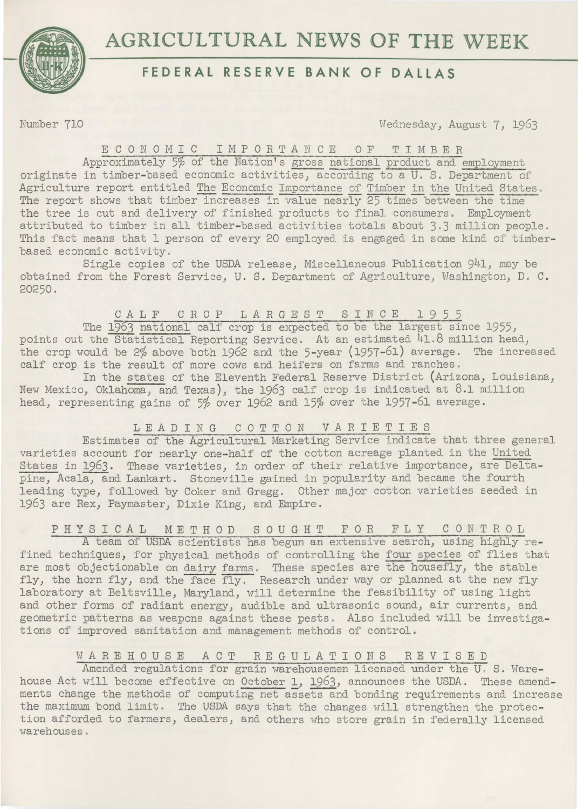

# **AGRICULTURAL NEWS OF THE WEEK**

## **FEDERAL RESERVE BANK OF DALLAS**

Number 710 Wednesday, August 7, 1963

ECONOMIC IMPORTANCE OF TIMBER

Approximately 5% of the Nation's gross national product and employment originate in timber-based economic activities, according to a U. S. Department of Agriculture report entitled The Economic Importance of Timber in the United States. The report shows that timber increases in value nearly 25 times between the time the tree is cut and delivery of finished products to final consumers. Employment attributed to timber in all timber-based activities totals about 3.3 million people. This fact means that 1 person of every 20 employed is engaged in some kind of timberbased economic activity.

Single copies of the USDA release, Miscellaneous Publication 941, may be obtained from the Forest Service, U. S. Department of Agriculture, Washington, D. C. 20250.

#### CALF CROP LARGEST SINCE 1955

The 1963 national calf crop is expected to be the largest since 1955, points out the Statistical Reporting Service. At an estimated 41.8 million head, the crop would be 2% above both 1962 and the 5-year (1957-61) average. The increased calf crop is the result of more cows and heifers on farms and ranches.

In the states of the Eleventh Federal Reserve District (Arizona, Louisiana, New Mexico, Oklahoma, and Texas), the 1963 calf crop is indicated at 8.1 million head, representing gains of 5% over 1962 and 15% over the 1957-61 average.

### LEADING COTTON VARIETIES

Estimates of the Agricultural Marketing Service indicate that three general varieties account for nearly one-half of the cotton acreage planted in the United States in 1963. These varieties, in order of their relative importance, are Deltapine, Acala, and Lankart. Stoneville gained in popularity and became the fourth leading type, followed by Coker and Gregg. Other major cotton varieties seeded in 1963 are Rex, Paymaster, Dixie King, and Empire.

### PHYSICAL METHOD SOUGHT FOR FLY CONTROL

*A* team of USDA scientists has begun an extensive search, using highly refined techniques, for physical methods of controlling the four species of flies that are most objectionable on dairy farms. These species are the housefly, the stable fly, the horn fly, and the face fly. Research under way or planned at the new fly laboratory at Beltsville, Maryland, will determine the feasibility of using light and other forms of radiant energy, audible and ultrasonic sound, air currents, and geometric patterns as weapons against these pests . Also included will be investigations of improved sanitation and management methods of control.

WAREHOUSE ACT REGULATIONS REVISED

Amended regulations for grain warehousemen licensed under the U. S. Warehouse Act will become effective on October 1, 1963, announces the USDA. These amendments change the methods of computing net assets and bonding requirements and increase the maximum bond limit. The USDA says that the changes will strengthen the protection afforded to farmers, dealers, and others who store grain in federally licensed warehouses .